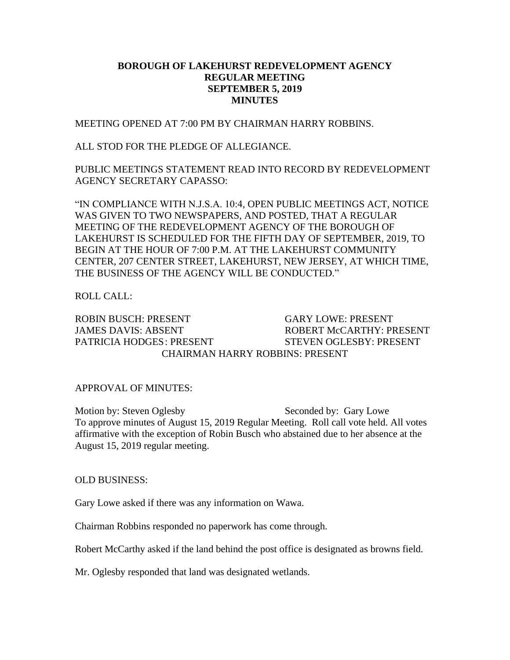## **BOROUGH OF LAKEHURST REDEVELOPMENT AGENCY REGULAR MEETING SEPTEMBER 5, 2019 MINUTES**

MEETING OPENED AT 7:00 PM BY CHAIRMAN HARRY ROBBINS.

ALL STOD FOR THE PLEDGE OF ALLEGIANCE.

PUBLIC MEETINGS STATEMENT READ INTO RECORD BY REDEVELOPMENT AGENCY SECRETARY CAPASSO:

"IN COMPLIANCE WITH N.J.S.A. 10:4, OPEN PUBLIC MEETINGS ACT, NOTICE WAS GIVEN TO TWO NEWSPAPERS, AND POSTED, THAT A REGULAR MEETING OF THE REDEVELOPMENT AGENCY OF THE BOROUGH OF LAKEHURST IS SCHEDULED FOR THE FIFTH DAY OF SEPTEMBER, 2019, TO BEGIN AT THE HOUR OF 7:00 P.M. AT THE LAKEHURST COMMUNITY CENTER, 207 CENTER STREET, LAKEHURST, NEW JERSEY, AT WHICH TIME, THE BUSINESS OF THE AGENCY WILL BE CONDUCTED."

ROLL CALL:

ROBIN BUSCH: PRESENT GARY LOWE: PRESENT JAMES DAVIS: ABSENT ROBERT McCARTHY: PRESENT PATRICIA HODGES: PRESENT STEVEN OGLESBY: PRESENT CHAIRMAN HARRY ROBBINS: PRESENT

APPROVAL OF MINUTES:

Motion by: Steven Oglesby Seconded by: Gary Lowe To approve minutes of August 15, 2019 Regular Meeting. Roll call vote held. All votes affirmative with the exception of Robin Busch who abstained due to her absence at the August 15, 2019 regular meeting.

OLD BUSINESS:

Gary Lowe asked if there was any information on Wawa.

Chairman Robbins responded no paperwork has come through.

Robert McCarthy asked if the land behind the post office is designated as browns field.

Mr. Oglesby responded that land was designated wetlands.